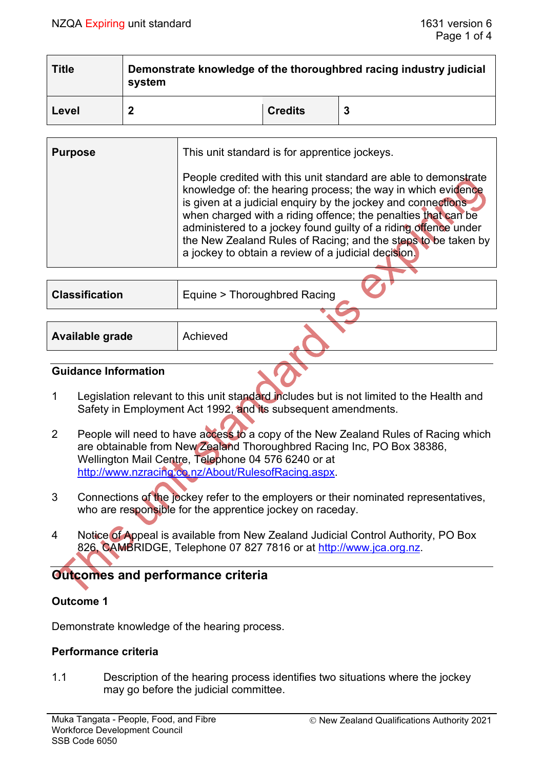| <b>Title</b> | Demonstrate knowledge of the thoroughbred racing industry judicial<br>system |                |  |  |
|--------------|------------------------------------------------------------------------------|----------------|--|--|
| Level        |                                                                              | <b>Credits</b> |  |  |

| <b>Purpose</b> | This unit standard is for apprentice jockeys.                                                                                                                                                                                                                                                                                                                                                                                                               |  |  |
|----------------|-------------------------------------------------------------------------------------------------------------------------------------------------------------------------------------------------------------------------------------------------------------------------------------------------------------------------------------------------------------------------------------------------------------------------------------------------------------|--|--|
|                | People credited with this unit standard are able to demonstrate<br>knowledge of: the hearing process; the way in which evidence<br>is given at a judicial enquiry by the jockey and connections<br>when charged with a riding offence; the penalties that can be<br>administered to a jockey found guilty of a riding offence under<br>the New Zealand Rules of Racing; and the steps to be taken by<br>a jockey to obtain a review of a judicial decision. |  |  |
|                |                                                                                                                                                                                                                                                                                                                                                                                                                                                             |  |  |

| <b>Classification</b> | Equine > Thoroughbred Racing |
|-----------------------|------------------------------|
|                       |                              |
| Available grade       | Achieved                     |

#### **Guidance Information**

- 1 Legislation relevant to this unit standard includes but is not limited to the Health and Safety in Employment Act 1992, and its subsequent amendments.
- 2 People will need to have access to a copy of the New Zealand Rules of Racing which are obtainable from New Zealand Thoroughbred Racing Inc, PO Box 38386, Wellington Mail Centre, Telephone 04 576 6240 or at [http://www.nzracing.co.nz/About/RulesofRacing.aspx.](http://www.nzracing.co.nz/About/RulesofRacing.aspx)
- 3 Connections of the jockey refer to the employers or their nominated representatives, who are responsible for the apprentice jockey on raceday.
- 4 Notice of Appeal is available from New Zealand Judicial Control Authority, PO Box 826, CAMBRIDGE, Telephone 07 827 7816 or at [http://www.jca.org.nz.](http://www.jca.org.nz/)

# **Outcomes and performance criteria**

# **Outcome 1**

Demonstrate knowledge of the hearing process.

### **Performance criteria**

1.1 Description of the hearing process identifies two situations where the jockey may go before the judicial committee.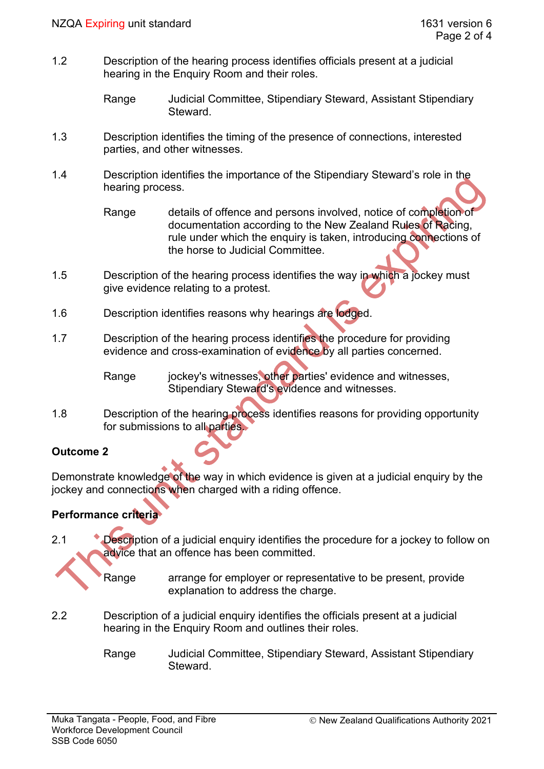1.2 Description of the hearing process identifies officials present at a judicial hearing in the Enquiry Room and their roles.

```
Range Judicial Committee, Stipendiary Steward, Assistant Stipendiary 
Steward.
```
- 1.3 Description identifies the timing of the presence of connections, interested parties, and other witnesses.
- 1.4 Description identifies the importance of the Stipendiary Steward's role in the hearing process.
	- Range details of offence and persons involved, notice of completion of documentation according to the New Zealand Rules of Racing, rule under which the enquiry is taken, introducing connections of the horse to Judicial Committee.
- 1.5 Description of the hearing process identifies the way in which a jockey must give evidence relating to a protest.
- 1.6 Description identifies reasons why hearings are lodged.
- 1.7 Description of the hearing process identifies the procedure for providing evidence and cross-examination of evidence by all parties concerned.

Range iockey's witnesses, other parties' evidence and witnesses, Stipendiary Steward's evidence and witnesses.

1.8 Description of the hearing process identifies reasons for providing opportunity for submissions to all parties.

# **Outcome 2**

Demonstrate knowledge of the way in which evidence is given at a judicial enquiry by the jockey and connections when charged with a riding offence.

# **Performance criteria**

- 2.1 Description of a judicial enquiry identifies the procedure for a jockey to follow on advice that an offence has been committed.
	- Range arrange for employer or representative to be present, provide explanation to address the charge.
- 2.2 Description of a judicial enquiry identifies the officials present at a judicial hearing in the Enquiry Room and outlines their roles.
	- Range Judicial Committee, Stipendiary Steward, Assistant Stipendiary **Steward**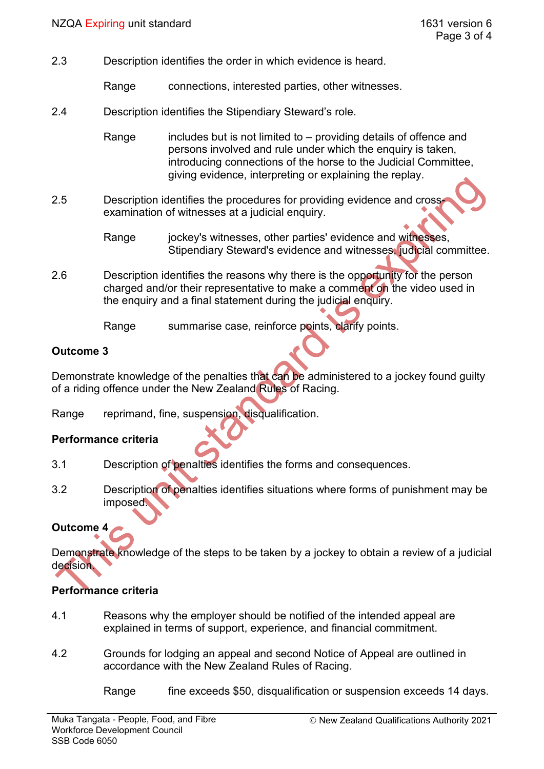2.3 Description identifies the order in which evidence is heard.

Range connections, interested parties, other witnesses.

2.4 Description identifies the Stipendiary Steward's role.

Range includes but is not limited to – providing details of offence and persons involved and rule under which the enquiry is taken, introducing connections of the horse to the Judicial Committee, giving evidence, interpreting or explaining the replay.

- 2.5 Description identifies the procedures for providing evidence and crossexamination of witnesses at a judicial enquiry.
	- Range jockey's witnesses, other parties' evidence and witnesses, Stipendiary Steward's evidence and witnesses, judicial committee.
- 2.6 Description identifies the reasons why there is the opportunity for the person charged and/or their representative to make a comment on the video used in the enquiry and a final statement during the judicial enquiry.

Range summarise case, reinforce points, clarify points.

### **Outcome 3**

Demonstrate knowledge of the penalties that can be administered to a jockey found guilty of a riding offence under the New Zealand Rules of Racing.

Range reprimand, fine, suspension, disqualification.

### **Performance criteria**

- 3.1 Description of penalties identifies the forms and consequences.
- 3.2 Description of penalties identifies situations where forms of punishment may be imposed.

# **Outcome 4**

Demonstrate knowledge of the steps to be taken by a jockey to obtain a review of a judicial decision.

### **Performance criteria**

- 4.1 Reasons why the employer should be notified of the intended appeal are explained in terms of support, experience, and financial commitment.
- 4.2 Grounds for lodging an appeal and second Notice of Appeal are outlined in accordance with the New Zealand Rules of Racing.

Range fine exceeds \$50, disqualification or suspension exceeds 14 days.